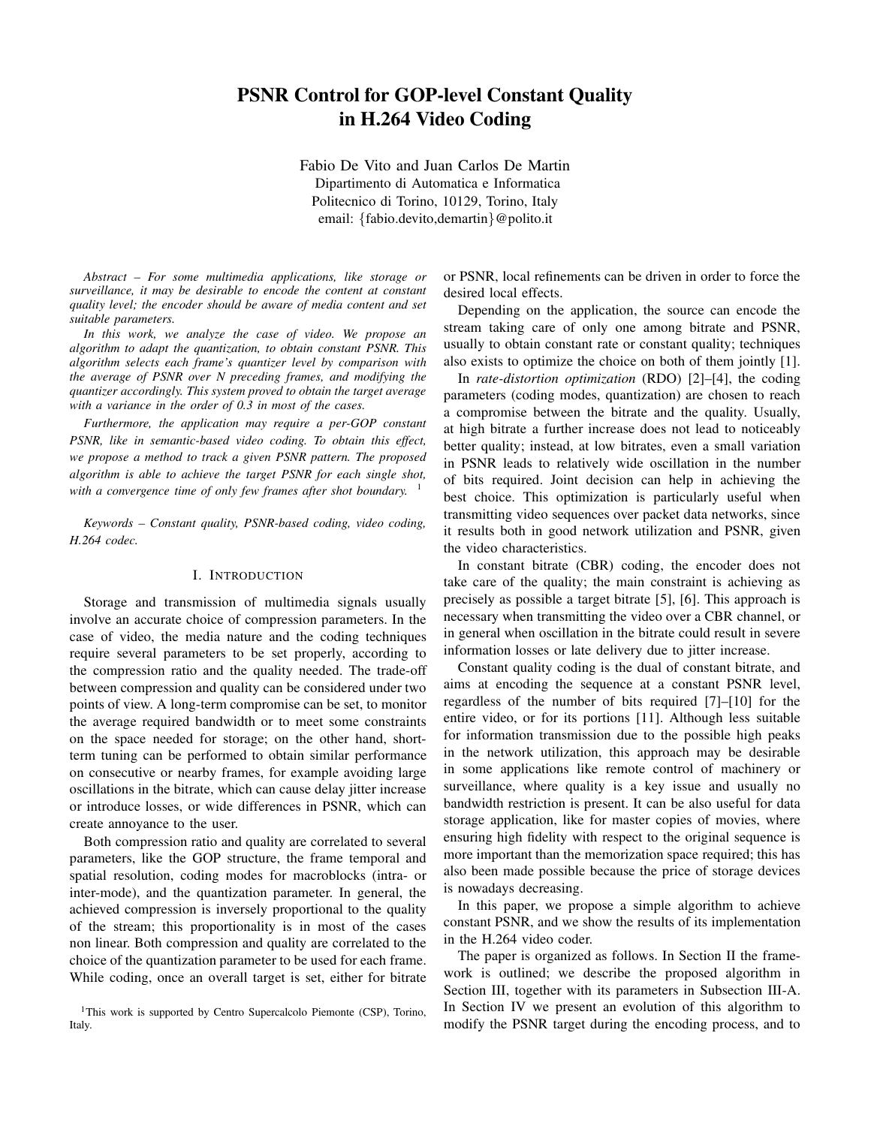# **PSNR Control for GOP-level Constant Quality in H.264 Video Coding**

Fabio De Vito and Juan Carlos De Martin Dipartimento di Automatica e Informatica Politecnico di Torino, 10129, Torino, Italy email: {fabio.devito,demartin}@polito.it

*Abstract – For some multimedia applications, like storage or surveillance, it may be desirable to encode the content at constant quality level; the encoder should be aware of media content and set suitable parameters.*

*In this work, we analyze the case of video. We propose an algorithm to adapt the quantization, to obtain constant PSNR. This algorithm selects each frame's quantizer level by comparison with the average of PSNR over N preceding frames, and modifying the quantizer accordingly. This system proved to obtain the target average with a variance in the order of 0.3 in most of the cases.*

*Furthermore, the application may require a per-GOP constant PSNR, like in semantic-based video coding. To obtain this effect, we propose a method to track a given PSNR pattern. The proposed algorithm is able to achieve the target PSNR for each single shot, with a convergence time of only few frames after shot boundary.* 1

*Keywords – Constant quality, PSNR-based coding, video coding, H.264 codec.*

### I. INTRODUCTION

Storage and transmission of multimedia signals usually involve an accurate choice of compression parameters. In the case of video, the media nature and the coding techniques require several parameters to be set properly, according to the compression ratio and the quality needed. The trade-off between compression and quality can be considered under two points of view. A long-term compromise can be set, to monitor the average required bandwidth or to meet some constraints on the space needed for storage; on the other hand, shortterm tuning can be performed to obtain similar performance on consecutive or nearby frames, for example avoiding large oscillations in the bitrate, which can cause delay jitter increase or introduce losses, or wide differences in PSNR, which can create annoyance to the user.

Both compression ratio and quality are correlated to several parameters, like the GOP structure, the frame temporal and spatial resolution, coding modes for macroblocks (intra- or inter-mode), and the quantization parameter. In general, the achieved compression is inversely proportional to the quality of the stream; this proportionality is in most of the cases non linear. Both compression and quality are correlated to the choice of the quantization parameter to be used for each frame. While coding, once an overall target is set, either for bitrate

<sup>1</sup>This work is supported by Centro Supercalcolo Piemonte (CSP), Torino, Italy.

or PSNR, local refinements can be driven in order to force the desired local effects.

Depending on the application, the source can encode the stream taking care of only one among bitrate and PSNR, usually to obtain constant rate or constant quality; techniques also exists to optimize the choice on both of them jointly [1].

In *rate-distortion optimization* (RDO) [2]–[4], the coding parameters (coding modes, quantization) are chosen to reach a compromise between the bitrate and the quality. Usually, at high bitrate a further increase does not lead to noticeably better quality; instead, at low bitrates, even a small variation in PSNR leads to relatively wide oscillation in the number of bits required. Joint decision can help in achieving the best choice. This optimization is particularly useful when transmitting video sequences over packet data networks, since it results both in good network utilization and PSNR, given the video characteristics.

In constant bitrate (CBR) coding, the encoder does not take care of the quality; the main constraint is achieving as precisely as possible a target bitrate [5], [6]. This approach is necessary when transmitting the video over a CBR channel, or in general when oscillation in the bitrate could result in severe information losses or late delivery due to jitter increase.

Constant quality coding is the dual of constant bitrate, and aims at encoding the sequence at a constant PSNR level, regardless of the number of bits required [7]–[10] for the entire video, or for its portions [11]. Although less suitable for information transmission due to the possible high peaks in the network utilization, this approach may be desirable in some applications like remote control of machinery or surveillance, where quality is a key issue and usually no bandwidth restriction is present. It can be also useful for data storage application, like for master copies of movies, where ensuring high fidelity with respect to the original sequence is more important than the memorization space required; this has also been made possible because the price of storage devices is nowadays decreasing.

In this paper, we propose a simple algorithm to achieve constant PSNR, and we show the results of its implementation in the H.264 video coder.

The paper is organized as follows. In Section II the framework is outlined; we describe the proposed algorithm in Section III, together with its parameters in Subsection III-A. In Section IV we present an evolution of this algorithm to modify the PSNR target during the encoding process, and to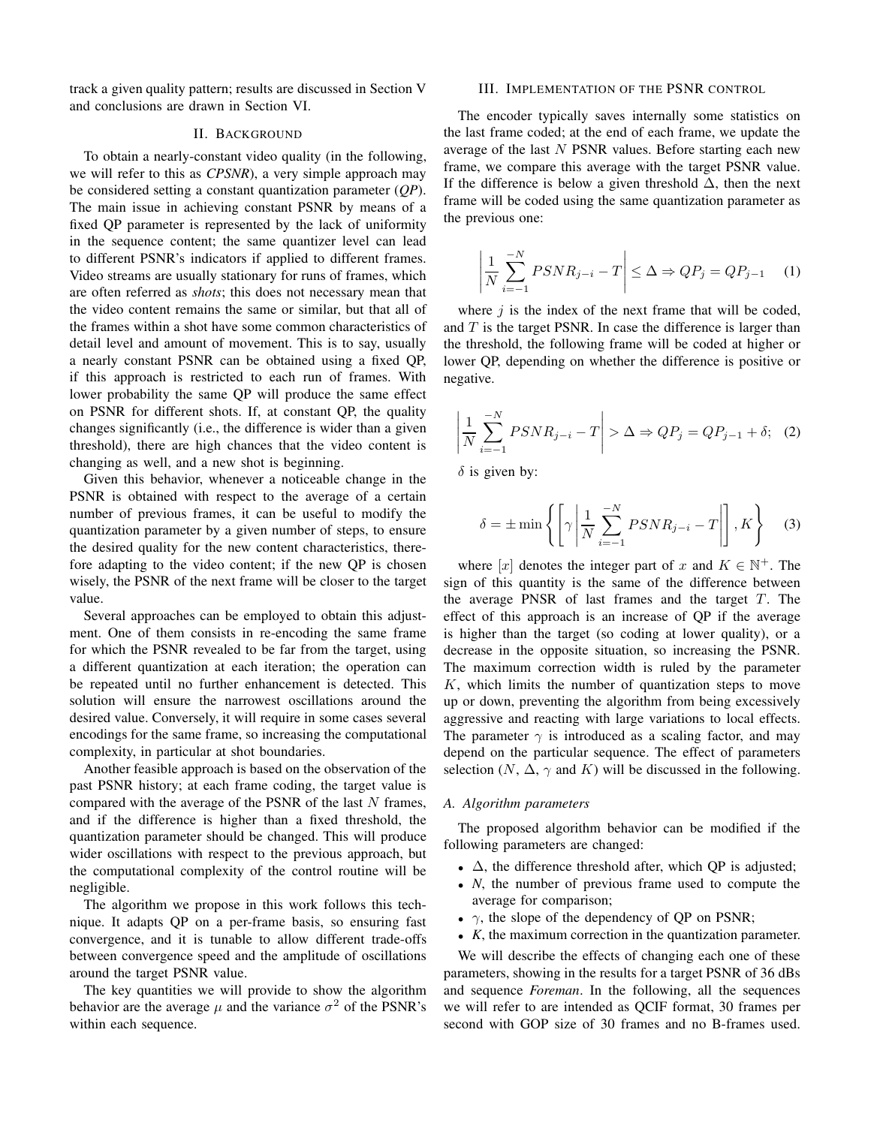track a given quality pattern; results are discussed in Section V and conclusions are drawn in Section VI.

### II. BACKGROUND

To obtain a nearly-constant video quality (in the following, we will refer to this as *CPSNR*), a very simple approach may be considered setting a constant quantization parameter (*QP*). The main issue in achieving constant PSNR by means of a fixed QP parameter is represented by the lack of uniformity in the sequence content; the same quantizer level can lead to different PSNR's indicators if applied to different frames. Video streams are usually stationary for runs of frames, which are often referred as *shots*; this does not necessary mean that the video content remains the same or similar, but that all of the frames within a shot have some common characteristics of detail level and amount of movement. This is to say, usually a nearly constant PSNR can be obtained using a fixed QP, if this approach is restricted to each run of frames. With lower probability the same QP will produce the same effect on PSNR for different shots. If, at constant QP, the quality changes significantly (i.e., the difference is wider than a given threshold), there are high chances that the video content is changing as well, and a new shot is beginning.

Given this behavior, whenever a noticeable change in the PSNR is obtained with respect to the average of a certain number of previous frames, it can be useful to modify the quantization parameter by a given number of steps, to ensure the desired quality for the new content characteristics, therefore adapting to the video content; if the new QP is chosen wisely, the PSNR of the next frame will be closer to the target value.

Several approaches can be employed to obtain this adjustment. One of them consists in re-encoding the same frame for which the PSNR revealed to be far from the target, using a different quantization at each iteration; the operation can be repeated until no further enhancement is detected. This solution will ensure the narrowest oscillations around the desired value. Conversely, it will require in some cases several encodings for the same frame, so increasing the computational complexity, in particular at shot boundaries.

Another feasible approach is based on the observation of the past PSNR history; at each frame coding, the target value is compared with the average of the PSNR of the last  $N$  frames, and if the difference is higher than a fixed threshold, the quantization parameter should be changed. This will produce wider oscillations with respect to the previous approach, but the computational complexity of the control routine will be negligible.

The algorithm we propose in this work follows this technique. It adapts QP on a per-frame basis, so ensuring fast convergence, and it is tunable to allow different trade-offs between convergence speed and the amplitude of oscillations around the target PSNR value.

The key quantities we will provide to show the algorithm behavior are the average  $\mu$  and the variance  $\sigma^2$  of the PSNR's within each sequence.

### III. IMPLEMENTATION OF THE PSNR CONTROL

The encoder typically saves internally some statistics on the last frame coded; at the end of each frame, we update the average of the last N PSNR values. Before starting each new frame, we compare this average with the target PSNR value. If the difference is below a given threshold  $\Delta$ , then the next frame will be coded using the same quantization parameter as the previous one:

$$
\left| \frac{1}{N} \sum_{i=-1}^{-N} PSNR_{j-i} - T \right| \leq \Delta \Rightarrow QP_j = QP_{j-1} \quad (1)
$$

where  $j$  is the index of the next frame that will be coded, and  $T$  is the target PSNR. In case the difference is larger than the threshold, the following frame will be coded at higher or lower QP, depending on whether the difference is positive or negative.

$$
\left| \frac{1}{N} \sum_{i=-1}^{-N} PSNR_{j-i} - T \right| > \Delta \Rightarrow QP_j = QP_{j-1} + \delta; \quad (2)
$$

 $\delta$  is given by:

$$
\delta = \pm \min \left\{ \left[ \gamma \left| \frac{1}{N} \sum_{i=-1}^{-N} PSNR_{j-i} - T \right| \right], K \right\} \tag{3}
$$

where [x] denotes the integer part of x and  $K \in \mathbb{N}^+$ . The sign of this quantity is the same of the difference between the average PNSR of last frames and the target  $T$ . The effect of this approach is an increase of QP if the average is higher than the target (so coding at lower quality), or a decrease in the opposite situation, so increasing the PSNR. The maximum correction width is ruled by the parameter  $K$ , which limits the number of quantization steps to move up or down, preventing the algorithm from being excessively aggressive and reacting with large variations to local effects. The parameter  $\gamma$  is introduced as a scaling factor, and may depend on the particular sequence. The effect of parameters selection (N,  $\Delta$ ,  $\gamma$  and K) will be discussed in the following.

### *A. Algorithm parameters*

The proposed algorithm behavior can be modified if the following parameters are changed:

- $\Delta$ , the difference threshold after, which QP is adjusted;
- *N*, the number of previous frame used to compute the average for comparison;
- $\gamma$ , the slope of the dependency of QP on PSNR;
- *K*, the maximum correction in the quantization parameter.

We will describe the effects of changing each one of these parameters, showing in the results for a target PSNR of 36 dBs and sequence *Foreman*. In the following, all the sequences we will refer to are intended as QCIF format, 30 frames per second with GOP size of 30 frames and no B-frames used.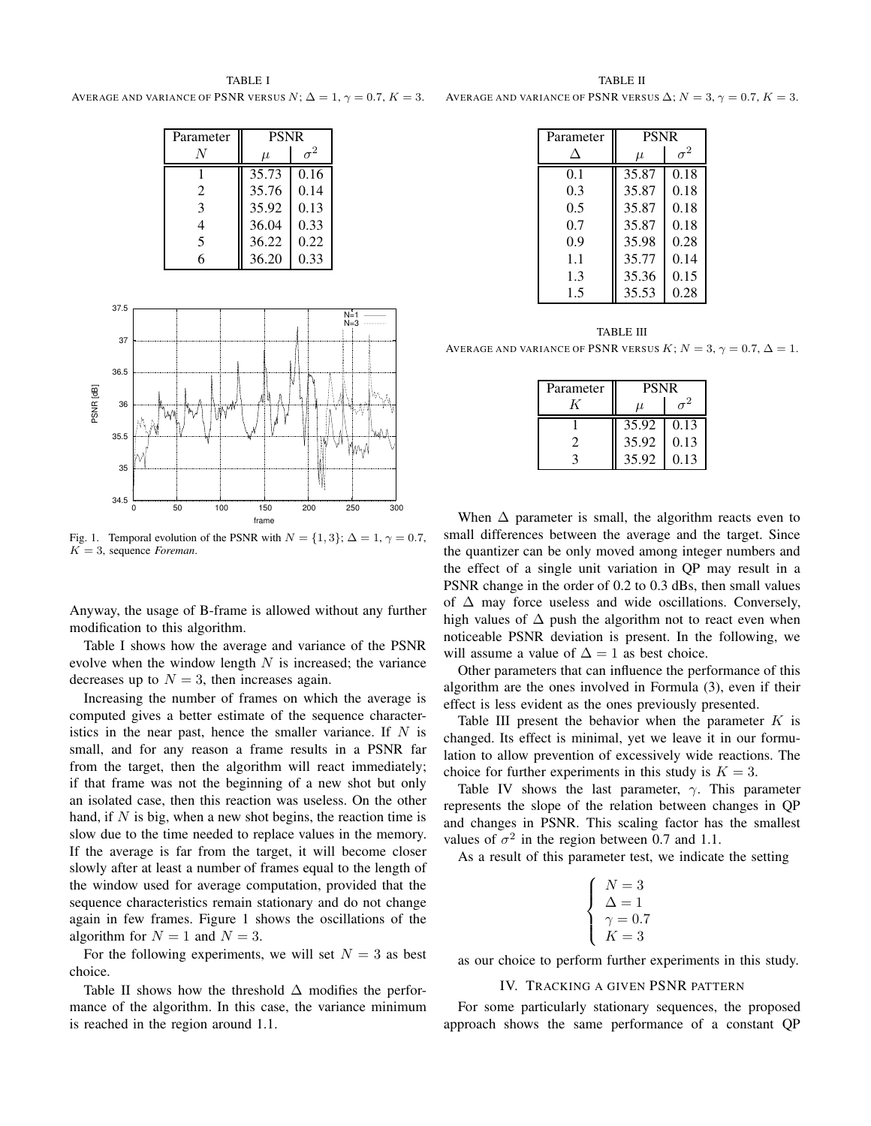TABLE I AVERAGE AND VARIANCE OF PSNR VERSUS  $N; \Delta = 1, \gamma = 0.7, K = 3.$ 

| Parameter | <b>PSNR</b> |      |
|-----------|-------------|------|
|           | $\mu$       |      |
|           | 35.73       | 0.16 |
| 2         | 35.76       | 0.14 |
| 3         | 35.92       | 0.13 |
| 4         | 36.04       | 0.33 |
| 5         | 36.22       | 0.22 |
| 6         | 36.20       | 0.33 |



Fig. 1. Temporal evolution of the PSNR with  $N = \{1, 3\}$ ;  $\Delta = 1$ ,  $\gamma = 0.7$ ,  $K = 3$ , sequence *Foreman*.

Anyway, the usage of B-frame is allowed without any further modification to this algorithm.

Table I shows how the average and variance of the PSNR evolve when the window length  $N$  is increased; the variance decreases up to  $N = 3$ , then increases again.

Increasing the number of frames on which the average is computed gives a better estimate of the sequence characteristics in the near past, hence the smaller variance. If  $N$  is small, and for any reason a frame results in a PSNR far from the target, then the algorithm will react immediately; if that frame was not the beginning of a new shot but only an isolated case, then this reaction was useless. On the other hand, if  $N$  is big, when a new shot begins, the reaction time is slow due to the time needed to replace values in the memory. If the average is far from the target, it will become closer slowly after at least a number of frames equal to the length of the window used for average computation, provided that the sequence characteristics remain stationary and do not change again in few frames. Figure 1 shows the oscillations of the algorithm for  $N = 1$  and  $N = 3$ .

For the following experiments, we will set  $N = 3$  as best choice.

Table II shows how the threshold  $\Delta$  modifies the performance of the algorithm. In this case, the variance minimum is reached in the region around 1.1.

TABLE II AVERAGE AND VARIANCE OF PSNR VERSUS  $\Delta$ ;  $N = 3$ ,  $\gamma = 0.7$ ,  $K = 3$ .

| Parameter | <b>PSNR</b> |            |
|-----------|-------------|------------|
| Л         | $\mu$       | $\sigma^2$ |
| 0.1       | 35.87       | 0.18       |
| 0.3       | 35.87       | 0.18       |
| 0.5       | 35.87       | 0.18       |
| 0.7       | 35.87       | 0.18       |
| 0.9       | 35.98       | 0.28       |
| 1.1       | 35.77       | 0.14       |
| 1.3       | 35.36       | 0.15       |
| 1.5       | 35.53       | 0.28       |

TABLE III AVERAGE AND VARIANCE OF PSNR VERSUS  $K; N = 3, \gamma = 0.7, \Delta = 1.$ 

| Parameter | <b>PSNR</b> |      |
|-----------|-------------|------|
|           | u           |      |
|           | 35.92       | 0.13 |
|           | 35.92       | 0.13 |
|           | 35.92       | 0.13 |

When  $\Delta$  parameter is small, the algorithm reacts even to small differences between the average and the target. Since the quantizer can be only moved among integer numbers and the effect of a single unit variation in QP may result in a PSNR change in the order of 0.2 to 0.3 dBs, then small values of ∆ may force useless and wide oscillations. Conversely, high values of  $\Delta$  push the algorithm not to react even when noticeable PSNR deviation is present. In the following, we will assume a value of  $\Delta = 1$  as best choice.

Other parameters that can influence the performance of this algorithm are the ones involved in Formula (3), even if their effect is less evident as the ones previously presented.

Table III present the behavior when the parameter  $K$  is changed. Its effect is minimal, yet we leave it in our formulation to allow prevention of excessively wide reactions. The choice for further experiments in this study is  $K = 3$ .

Table IV shows the last parameter,  $\gamma$ . This parameter represents the slope of the relation between changes in QP and changes in PSNR. This scaling factor has the smallest values of  $\sigma^2$  in the region between 0.7 and 1.1.

As a result of this parameter test, we indicate the setting

$$
\begin{cases}\nN = 3 \\
\Delta = 1 \\
\gamma = 0.7 \\
K = 3\n\end{cases}
$$

as our choice to perform further experiments in this study.

## IV. TRACKING A GIVEN PSNR PATTERN

For some particularly stationary sequences, the proposed approach shows the same performance of a constant QP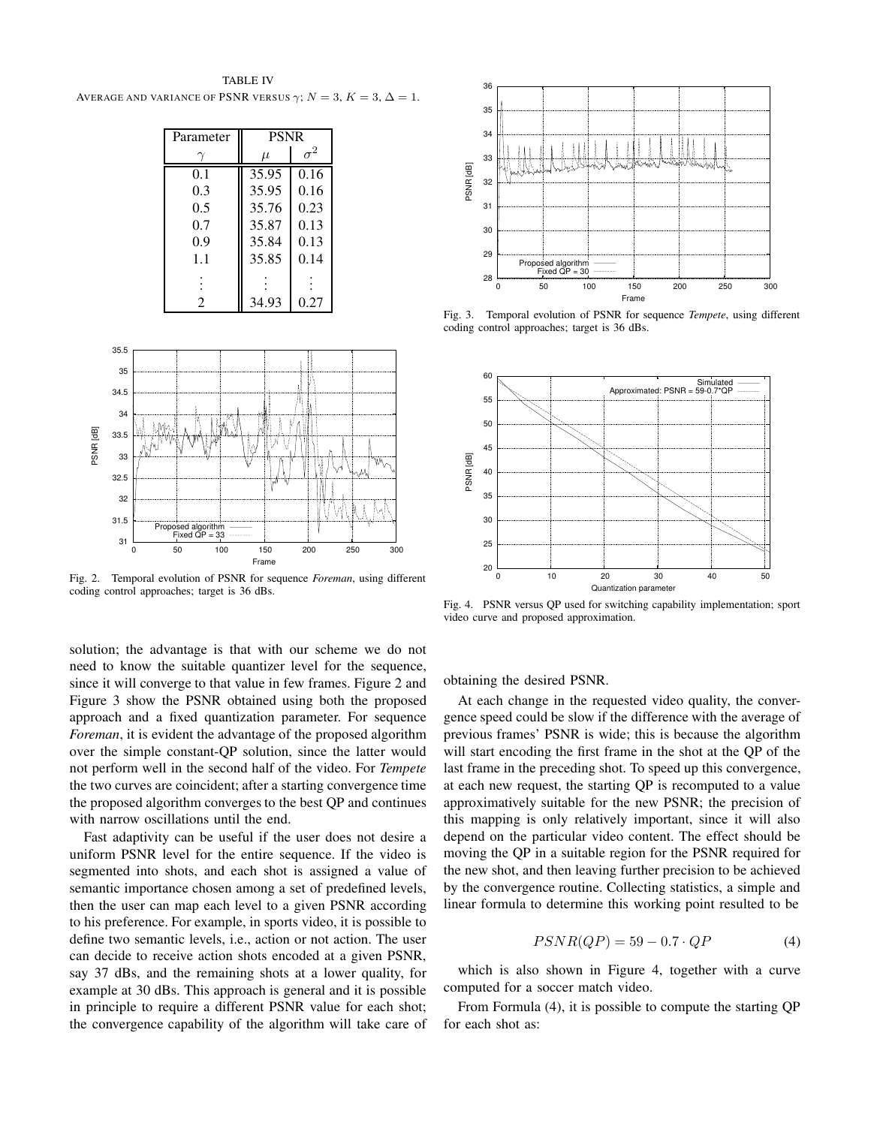TABLE IV AVERAGE AND VARIANCE OF PSNR VERSUS  $\gamma$ ;  $N = 3$ ,  $K = 3$ ,  $\Delta = 1$ .

| Parameter | <b>PSNR</b> |            |  |
|-----------|-------------|------------|--|
|           | $\mu$       | $\sigma^2$ |  |
| 0.1       | 35.95       | 0.16       |  |
| 0.3       | 35.95       | 0.16       |  |
| 0.5       | 35.76       | 0.23       |  |
| 0.7       | 35.87       | 0.13       |  |
| 0.9       | 35.84       | 0.13       |  |
| 1.1       | 35.85       | 0.14       |  |
|           |             |            |  |
| 2         | 34.93       | 0.27       |  |



Fig. 2. Temporal evolution of PSNR for sequence *Foreman*, using different coding control approaches; target is 36 dBs.

solution; the advantage is that with our scheme we do not need to know the suitable quantizer level for the sequence, since it will converge to that value in few frames. Figure 2 and Figure 3 show the PSNR obtained using both the proposed approach and a fixed quantization parameter. For sequence *Foreman*, it is evident the advantage of the proposed algorithm over the simple constant-QP solution, since the latter would not perform well in the second half of the video. For *Tempete* the two curves are coincident; after a starting convergence time the proposed algorithm converges to the best QP and continues with narrow oscillations until the end.

Fast adaptivity can be useful if the user does not desire a uniform PSNR level for the entire sequence. If the video is segmented into shots, and each shot is assigned a value of semantic importance chosen among a set of predefined levels, then the user can map each level to a given PSNR according to his preference. For example, in sports video, it is possible to define two semantic levels, i.e., action or not action. The user can decide to receive action shots encoded at a given PSNR, say 37 dBs, and the remaining shots at a lower quality, for example at 30 dBs. This approach is general and it is possible in principle to require a different PSNR value for each shot; the convergence capability of the algorithm will take care of



Fig. 3. Temporal evolution of PSNR for sequence *Tempete*, using different coding control approaches; target is 36 dBs.



Fig. 4. PSNR versus QP used for switching capability implementation; sport video curve and proposed approximation.

obtaining the desired PSNR.

At each change in the requested video quality, the convergence speed could be slow if the difference with the average of previous frames' PSNR is wide; this is because the algorithm will start encoding the first frame in the shot at the QP of the last frame in the preceding shot. To speed up this convergence, at each new request, the starting QP is recomputed to a value approximatively suitable for the new PSNR; the precision of this mapping is only relatively important, since it will also depend on the particular video content. The effect should be moving the QP in a suitable region for the PSNR required for the new shot, and then leaving further precision to be achieved by the convergence routine. Collecting statistics, a simple and linear formula to determine this working point resulted to be

$$
PSNR(QP) = 59 - 0.7 \cdot QP \tag{4}
$$

which is also shown in Figure 4, together with a curve computed for a soccer match video.

From Formula (4), it is possible to compute the starting QP for each shot as: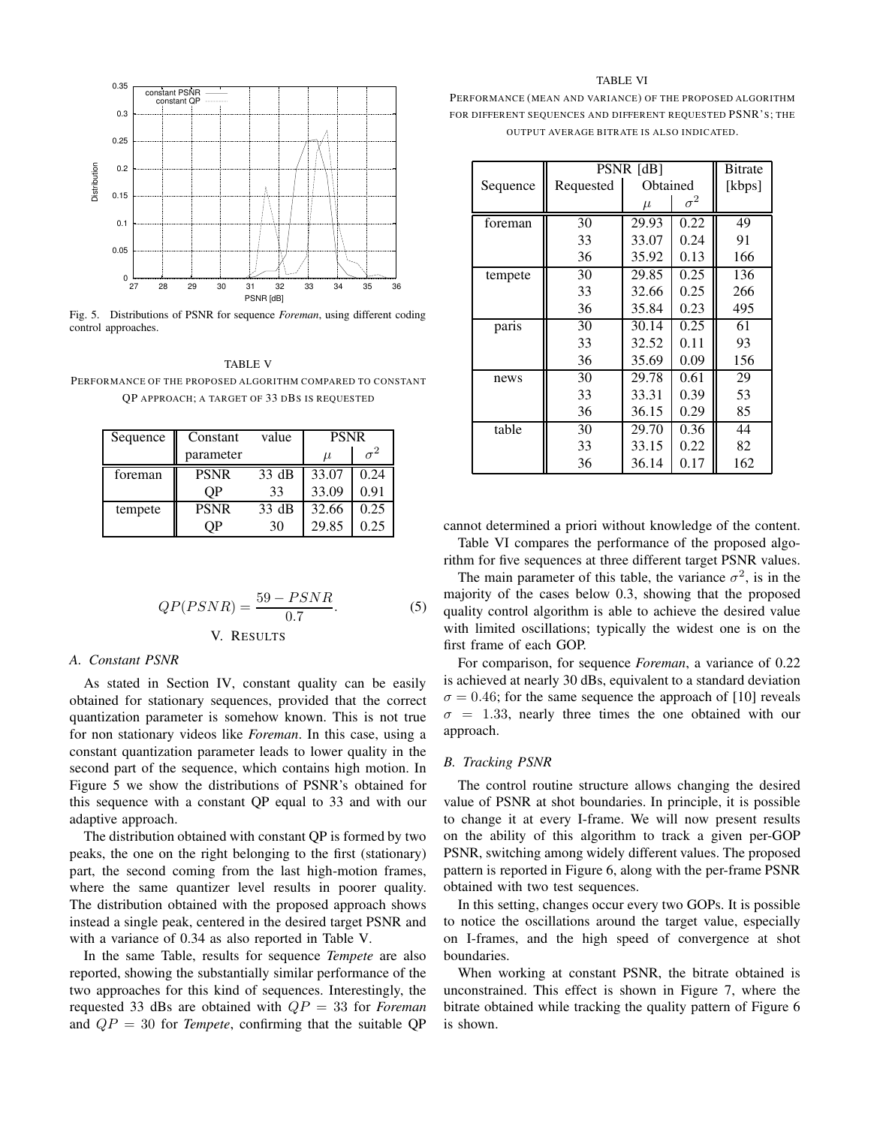

Fig. 5. Distributions of PSNR for sequence *Foreman*, using different coding control approaches.

## TABLE V

PERFORMANCE OF THE PROPOSED ALGORITHM COMPARED TO CONSTANT QP APPROACH; A TARGET OF 33 DBS IS REQUESTED

| Sequence | Constant    | value | <b>PSNR</b> |      |
|----------|-------------|-------|-------------|------|
|          | parameter   |       | $\mu$       |      |
| foreman  | <b>PSNR</b> | 33 dB | 33.07       | 0.24 |
|          | OΡ          | 33    | 33.09       | 0.91 |
| tempete  | <b>PSNR</b> | 33 dB | 32.66       | 0.25 |
|          | OΡ          | 30    | 29.85       | 0.25 |

$$
QP(PSNR) = \frac{59 - PSNR}{0.7}.
$$
\n<sup>(5)</sup>\n<sup>(5)</sup>

## *A. Constant PSNR*

As stated in Section IV, constant quality can be easily obtained for stationary sequences, provided that the correct quantization parameter is somehow known. This is not true for non stationary videos like *Foreman*. In this case, using a constant quantization parameter leads to lower quality in the second part of the sequence, which contains high motion. In Figure 5 we show the distributions of PSNR's obtained for this sequence with a constant QP equal to 33 and with our adaptive approach.

The distribution obtained with constant QP is formed by two peaks, the one on the right belonging to the first (stationary) part, the second coming from the last high-motion frames, where the same quantizer level results in poorer quality. The distribution obtained with the proposed approach shows instead a single peak, centered in the desired target PSNR and with a variance of 0.34 as also reported in Table V.

In the same Table, results for sequence *Tempete* are also reported, showing the substantially similar performance of the two approaches for this kind of sequences. Interestingly, the requested 33 dBs are obtained with QP = 33 for *Foreman* and  $QP = 30$  for *Tempete*, confirming that the suitable QP

#### TABLE VI

PERFORMANCE (MEAN AND VARIANCE) OF THE PROPOSED ALGORITHM FOR DIFFERENT SEQUENCES AND DIFFERENT REQUESTED PSNR'S: THE OUTPUT AVERAGE BITRATE IS ALSO INDICATED.

|          | PSNR [dB] |          |            | Bitrate |
|----------|-----------|----------|------------|---------|
| Sequence | Requested | Obtained |            | [kbps]  |
|          |           | $\mu$    | $\sigma^2$ |         |
| foreman  | 30        | 29.93    | 0.22       | 49      |
|          | 33        | 33.07    | 0.24       | 91      |
|          | 36        | 35.92    | 0.13       | 166     |
| tempete  | 30        | 29.85    | 0.25       | 136     |
|          | 33        | 32.66    | 0.25       | 266     |
|          | 36        | 35.84    | 0.23       | 495     |
| paris    | 30        | 30.14    | 0.25       | 61      |
|          | 33        | 32.52    | 0.11       | 93      |
|          | 36        | 35.69    | 0.09       | 156     |
| news     | 30        | 29.78    | 0.61       | 29      |
|          | 33        | 33.31    | 0.39       | 53      |
|          | 36        | 36.15    | 0.29       | 85      |
| table    | 30        | 29.70    | 0.36       | 44      |
|          | 33        | 33.15    | 0.22       | 82      |
|          | 36        | 36.14    | 0.17       | 162     |

cannot determined a priori without knowledge of the content.

Table VI compares the performance of the proposed algorithm for five sequences at three different target PSNR values.

The main parameter of this table, the variance  $\sigma^2$ , is in the majority of the cases below 0.3, showing that the proposed quality control algorithm is able to achieve the desired value with limited oscillations; typically the widest one is on the first frame of each GOP.

For comparison, for sequence *Foreman*, a variance of 0.22 is achieved at nearly 30 dBs, equivalent to a standard deviation  $\sigma = 0.46$ ; for the same sequence the approach of [10] reveals  $\sigma = 1.33$ , nearly three times the one obtained with our approach.

## *B. Tracking PSNR*

The control routine structure allows changing the desired value of PSNR at shot boundaries. In principle, it is possible to change it at every I-frame. We will now present results on the ability of this algorithm to track a given per-GOP PSNR, switching among widely different values. The proposed pattern is reported in Figure 6, along with the per-frame PSNR obtained with two test sequences.

In this setting, changes occur every two GOPs. It is possible to notice the oscillations around the target value, especially on I-frames, and the high speed of convergence at shot boundaries.

When working at constant PSNR, the bitrate obtained is unconstrained. This effect is shown in Figure 7, where the bitrate obtained while tracking the quality pattern of Figure 6 is shown.